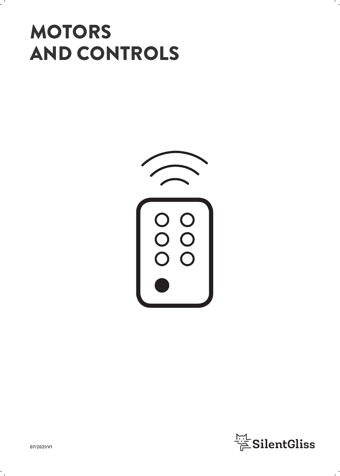# **MOTORS** AND CONTROLS



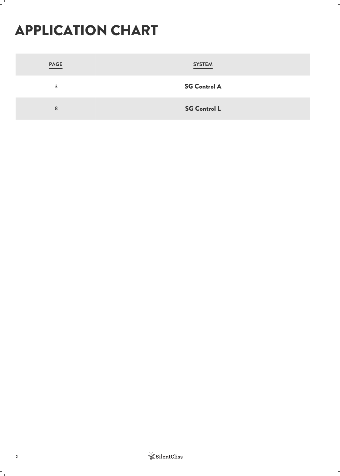## APPLICATION CHART

| PAGE | <b>SYSTEM</b>       |
|------|---------------------|
| 3    | <b>SG Control A</b> |
| 8    | <b>SG Control L</b> |

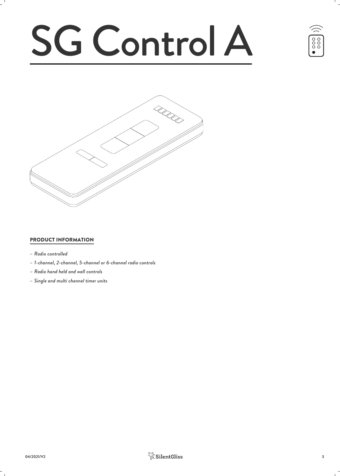# SG Control A





#### PRODUCT INFORMATION

- *– Radio controlled*
- *– 1-channel, 2-channel, 5-channel or 6-channel radio controls*
- *– Radio hand held and wall controls*
- *– Single and multi channel timer units*

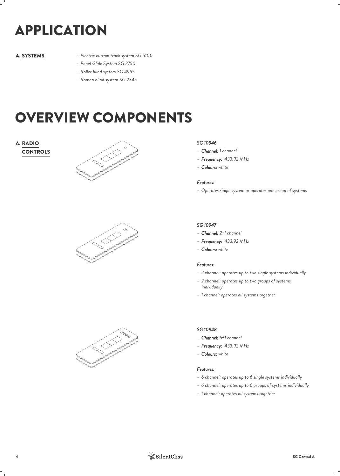# APPLICATION

- *– Electric curtain track system SG 5100* A. SYSTEMS
	- *– Panel Glide System SG 2750*
	- *– Roller blind system SG 4955*
	- *– Roman blind system SG 2345*

## OVERVIEW COMPONENTS

## **A. RADIO**







#### *SG 10946*

- *– Channel: 1 channel*
- *– Frequency: 433.92 MHz*
- *– Colours: white*

#### *Features:*

*– Operates single system or operates one group of systems*

#### *SG 10947*

- *– Channel: 2+1 channel*
- *– Frequency: 433.92 MHz*
- *– Colours: white*

#### *Features:*

- *– 2 channel: operates up to two single systems individually*
- *– 2 channel: operates up to two groups of systems individually*
- *– 1 channel: operates all systems together*

#### *SG 10948*

- *– Channel: 6+1 channel*
- *– Frequency: 433.92 MHz*
- *– Colours: white*

- *– 6 channel: operates up to 6 single systems individually*
- *– 6 channel: operates up to 6 groups of systems individually*
- *– 1 channel: operates all systems together*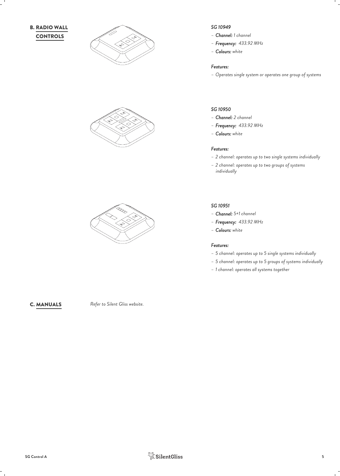







#### *SG 10949*

- *– Channel: 1 channel*
- *– Frequency: 433.92 MHz*
- *– Colours: white*

#### *Features:*

*– Operates single system or operates one group of systems*

#### *SG 10950*

- *– Channel: 2 channel*
- *– Frequency: 433.92 MHz*
- *– Colours: white*

#### *Features:*

- *– 2 channel: operates up to two single systems individually*
- *– 2 channel: operates up to two groups of systems individually*

#### *SG 10951*

- *– Channel: 5+1 channel*
- *– Frequency: 433.92 MHz*
- *– Colours: white*

#### *Features:*

- *– 5 channel: operates up to 5 single systems individually*
- *– 5 channel: operates up to 5 groups of systems individually*
- *– 1 channel: operates all systems together*

*Refer to Silent Gliss website.* C. MANUALS

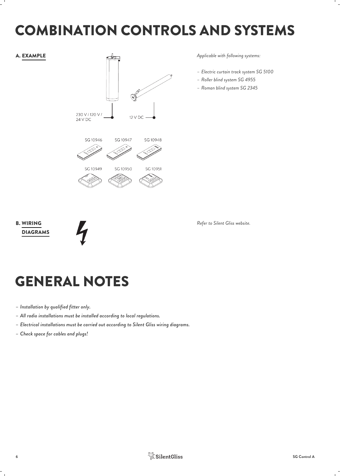## COMBINATION CONTROLS AND SYSTEMS



*Applicable with following systems:*

- *– Electric curtain track system SG 5100*
- *– Roller blind system SG 4955*
- *– Roman blind system SG 2345*

B. WIRING **Extending the Contract of Contract Contract of Contract Contract Contract Contract Contract Contract Contract Contract Contract Contract Contract Contract Contract Contract Contract Contract Contract Contract Co** DIAGRAMS



*Refer to Silent Gliss website.*

## GENERAL NOTES

- *– Installation by qualified fitter only.*
- *– All radio installations must be installed according to local regulations.*
- *– Electrical installations must be carried out according to Silent Gliss wiring diagrams.*
- *– Check space for cables and plugs!*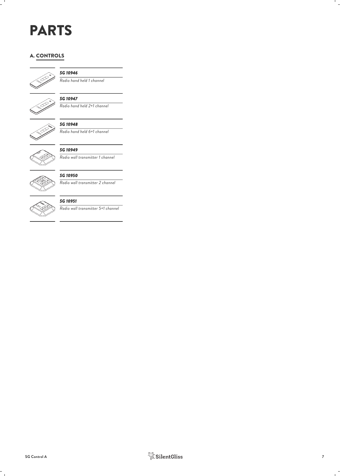## PARTS

#### A. CONTROLS



#### *SG 10946*

*Radio hand held 1 channel*



#### *SG 10947*

*Radio hand held 2+1 channel*



### *SG 10948*

*Radio hand held 6+1 channel*



#### *SG 10949*

*Radio wall transmitter 1 channel*



#### *SG 10950*

*Radio wall transmitter 2 channel*



#### *SG 10951*

*Radio wall transmitter 5+1 channel*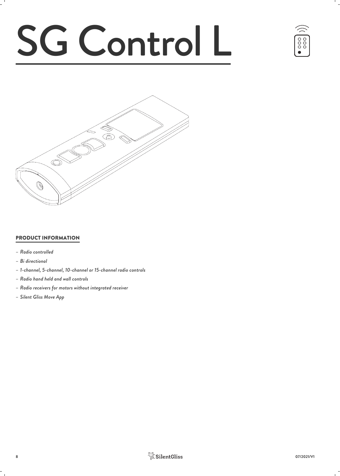# SG Control L





#### PRODUCT INFORMATION

- *– Radio controlled*
- *– Bi directional*
- *– 1-channel, 5-channel, 10-channel or 15-channel radio controls*
- *– Radio hand held and wall controls*
- *– Radio receivers for motors without integrated receiver*
- *– Silent Gliss Move App*

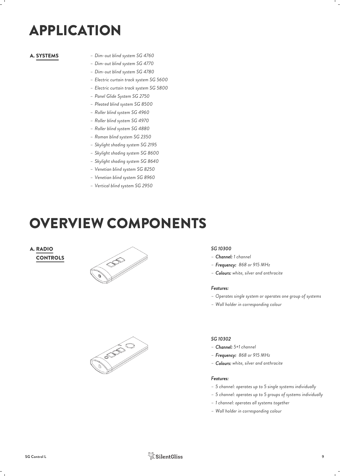## APPLICATION

- *– Dim-out blind system SG 4760* A. SYSTEMS
	- *– Dim-out blind system SG 4770*
	- *– Dim-out blind system SG 4780*
	- *– Electric curtain track system SG 5600*
	- *– Electric curtain track system SG 5800*
	- *– Panel Glide System SG 2750*
	- *– Pleated blind system SG 8500*
	- *– Roller blind system SG 4960*
	- *– Roller blind system SG 4970*
	- *– Roller blind system SG 4880*
	- *– Roman blind system SG 2350*
	- *– Skylight shading system SG 2195*
	- *– Skylight shading system SG 8600*
	- *– Skylight shading system SG 8640*
	- *– Venetian blind system SG 8250*
	- *– Venetian blind system SG 8960*
	- *– Vertical blind system SG 2950*

## OVERVIEW COMPONENTS

#### **CONTROLS A. RADIO**



# **COLLES**

#### *SG 10300*

- *– Channel: 1 channel*
- *– Frequency: 868 or 915 MHz*
- *– Colours: white, silver and anthracite*

#### *Features:*

- *– Operates single system or operates one group of systems*
- *– Wall holder in corresponding colour*

#### *SG 10302*

- *– Channel: 5+1 channel*
- *– Frequency: 868 or 915 MHz*
- *– Colours: white, silver and anthracite*

- *– 5 channel: operates up to 5 single systems individually*
- *– 5 channel: operates up to 5 groups of systems individually*
- *– 1 channel: operates all systems together*
- *– Wall holder in corresponding colour*

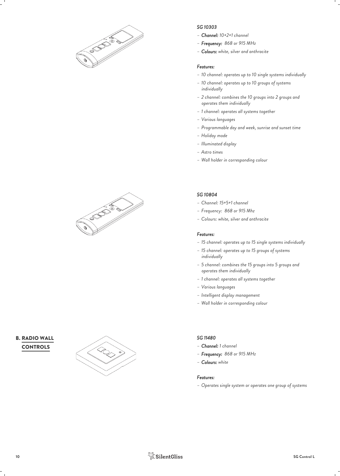

#### *SG 10303*

- *– Channel: 10+2+1 channel*
- *– Frequency: 868 or 915 MHz*
- *– Colours: white, silver and anthracite*

#### *Features:*

- *– 10 channel: operates up to 10 single systems individually*
- *– 10 channel: operates up to 10 groups of systems individually*
- *– 2 channel: combines the 10 groups into 2 groups and operates them individually*
- *– 1 channel: operates all systems together*
- *– Various languages*
- *– Programmable day and week, sunrise and sunset time*
- *– Holiday mode*
- *– Illuminated display*
- *– Astro times*
- *– Wall holder in corresponding colour*

#### *SG 10804*

- *– Channel: 15+5+1 channel*
- *– Frequency: 868 or 915 Mhz*
- *– Colours: white, silver and anthracite*

#### *Features:*

- *– 15 channel: operates up to 15 single systems individually*
- *– 15 channel: operates up to 15 groups of systems individually*
- *– 5 channel: combines the 15 groups into 5 groups and operates them individually*
- *– 1 channel: operates all systems together*
- *– Various languages*
- *– Intelligent display management*
- *– Wall holder in corresponding colour*

#### *SG 11480*

- *– Channel: 1 channel*
- *– Frequency: 868 or 915 MHz*
- *– Colours: white*

#### *Features:*

*– Operates single system or operates one group of systems*



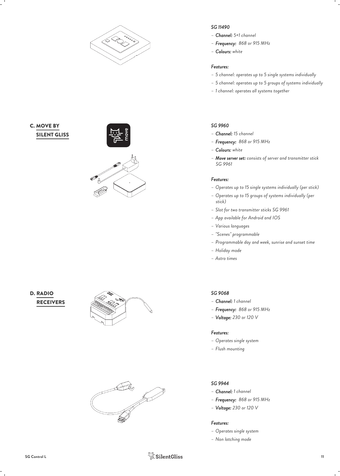

### C. MOVE BY THE CONTROL OF THE CONTROL OF THE CONTROL OF THE CONTROL OF THE CONTROL OF THE CONTROL OF THE CONTROL OF THE CONTROL OF THE CONTROL OF THE CONTROL OF THE CONTROL OF THE CONTROL OF THE CONTROL OF THE CONTROL OF T SILENT GLISS



#### **RECEIVERS** D. RADIO





#### *SG 11490*

- *– Channel: 5+1 channel*
- *– Frequency: 868 or 915 MHz*
- *– Colours: white*

#### *Features:*

- *– 5 channel: operates up to 5 single systems individually*
- *– 5 channel: operates up to 5 groups of systems individually*
- *– 1 channel: operates all systems together*

#### *SG 9960*

- *– Channel: 15 channel*
- *– Frequency: 868 or 915 MHz*
- *– Colours: white*
- *– Move server set: consists of server and transmitter stick SG 9961*

#### *Features:*

- *– Operates up to 15 single systems individually (per stick)*
- *– Operates up to 15 groups of systems individually (per stick)*
- *– Slot for two transmitter sticks SG 9961*
- *– App available for Android and IOS*
- *– Various languages*
- *– "Scenes" programmable*
- *– Programmable day and week, sunrise and sunset time*
- *– Holiday mode*
- *– Astro times*

#### *SG 9068*

- *– Channel: 1 channel*
- *– Frequency: 868 or 915 MHz*
- *– Voltage: 230 or 120 V*

#### *Features:*

- *– Operates single system*
- *– Flush mounting*

#### *SG 9944*

- *– Channel: 1 channel*
- *– Frequency: 868 or 915 MHz*
- *– Voltage: 230 or 120 V*

- *– Operates single system*
- *– Non latching mode*

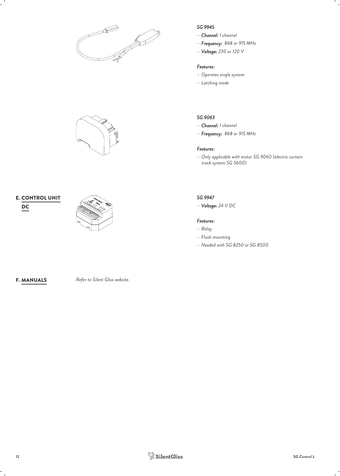



## $\mathsf{E}$ . CONTROL UNIT



#### *SG 9945*

- *– Channel: 1 channel*
- *– Frequency: 868 or 915 MHz*
- *– Voltage: 230 or 120 V*

#### *Features:*

- *– Operates single system*
- *– Latching mode*

#### *SG 9063*

- *– Channel: 1 channel*
- *– Frequency: 868 or 915 MHz*

#### *Features:*

*– Only applicable with motor SG 9060 (electric curtain track system SG 5600)*

#### *SG 9947*

*– Voltage: 24 V DC*

- *– Relay*
- *– Flush mounting*
- *– Needed with SG 8250 or SG 8500*

*Refer to Silent Gliss website.* F. MANUALS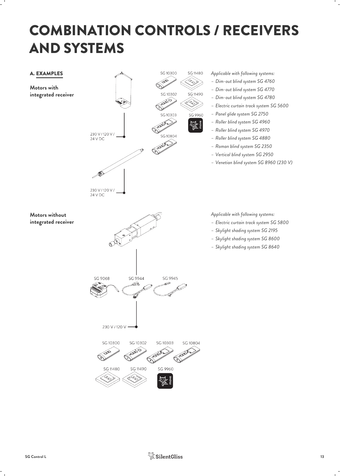## COMBINATION CONTROLS / RECEIVERS AND SYSTEMS



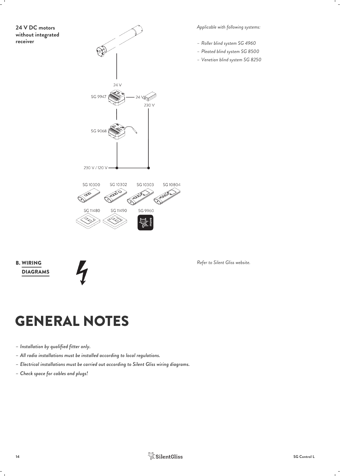## **24 V DC motors without integrated**



*Applicable with following systems:*

- *– Roller blind system SG 4960*
- *– Pleated blind system SG 8500*
- *– Venetian blind system SG 8250*

DIAGRAMS **B. WIRING** 



 $Refer to Silent Gliss website.$ 

## GENERAL NOTES

- *– Installation by qualified fitter only.*
- *– All radio installations must be installed according to local regulations.*
- *– Electrical installations must be carried out according to Silent Gliss wiring diagrams.*
- *– Check space for cables and plugs!*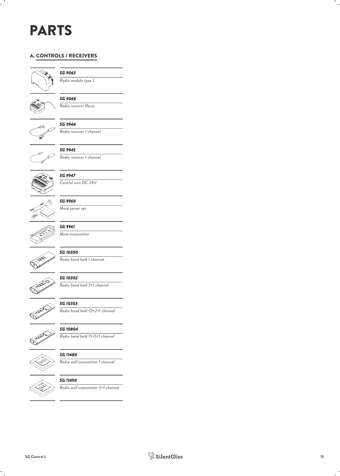## PARTS

#### A. CONTROLS / RECEIVERS



#### *SG 9063*

*Radio module type L*



## *SG 9068*

*Radio receiver Revio*







*SG 9945 Radio receiver 1 channel*



*SG 9947 Control unit DC 24V*



*SG 9960 Move server set*



### *SG 9961 Move transmitter*



*SG 10300 Radio hand held 1 channel*



*SG 10302 Radio hand held 5+1 channel*



### *SG 10303*

*Radio hand held 10+2+1 channel*



*SG 10804 Radio hand held 15+5+1 channel*



*SG 11480 Radio wall transmitter 1 channel*



*SG 11490*

*Radio wall transmitter 5+1 channel*